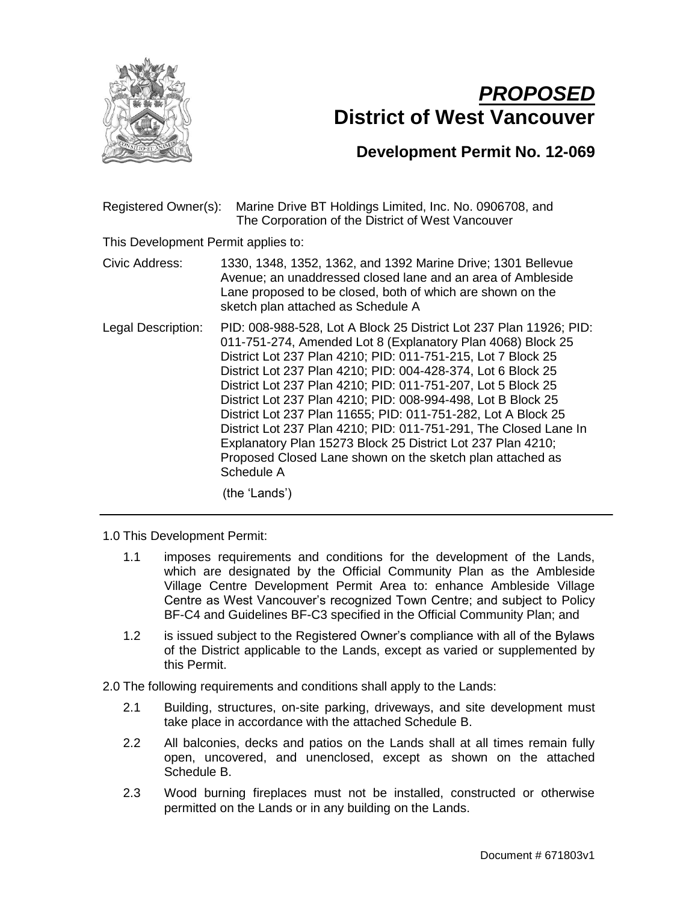

## *PROPOSED* **District of West Vancouver**

## **Development Permit No. 12-069**

Registered Owner(s): Marine Drive BT Holdings Limited, Inc. No. 0906708, and The Corporation of the District of West Vancouver

This Development Permit applies to:

Civic Address: 1330, 1348, 1352, 1362, and 1392 Marine Drive; 1301 Bellevue Avenue; an unaddressed closed lane and an area of Ambleside Lane proposed to be closed, both of which are shown on the sketch plan attached as Schedule A

Legal Description: PID: 008-988-528, Lot A Block 25 District Lot 237 Plan 11926; PID: 011-751-274, Amended Lot 8 (Explanatory Plan 4068) Block 25 District Lot 237 Plan 4210; PID: 011-751-215, Lot 7 Block 25 District Lot 237 Plan 4210; PID: 004-428-374, Lot 6 Block 25 District Lot 237 Plan 4210; PID: 011-751-207, Lot 5 Block 25 District Lot 237 Plan 4210; PID: 008-994-498, Lot B Block 25 District Lot 237 Plan 11655; PID: 011-751-282, Lot A Block 25 District Lot 237 Plan 4210; PID: 011-751-291, The Closed Lane In Explanatory Plan 15273 Block 25 District Lot 237 Plan 4210; Proposed Closed Lane shown on the sketch plan attached as Schedule A

(the 'Lands')

1.0 This Development Permit:

- 1.1 imposes requirements and conditions for the development of the Lands, which are designated by the Official Community Plan as the Ambleside Village Centre Development Permit Area to: enhance Ambleside Village Centre as West Vancouver's recognized Town Centre; and subject to Policy BF-C4 and Guidelines BF-C3 specified in the Official Community Plan; and
- 1.2 is issued subject to the Registered Owner's compliance with all of the Bylaws of the District applicable to the Lands, except as varied or supplemented by this Permit.

2.0 The following requirements and conditions shall apply to the Lands:

- 2.1 Building, structures, on-site parking, driveways, and site development must take place in accordance with the attached Schedule B.
- 2.2 All balconies, decks and patios on the Lands shall at all times remain fully open, uncovered, and unenclosed, except as shown on the attached Schedule B.
- 2.3 Wood burning fireplaces must not be installed, constructed or otherwise permitted on the Lands or in any building on the Lands.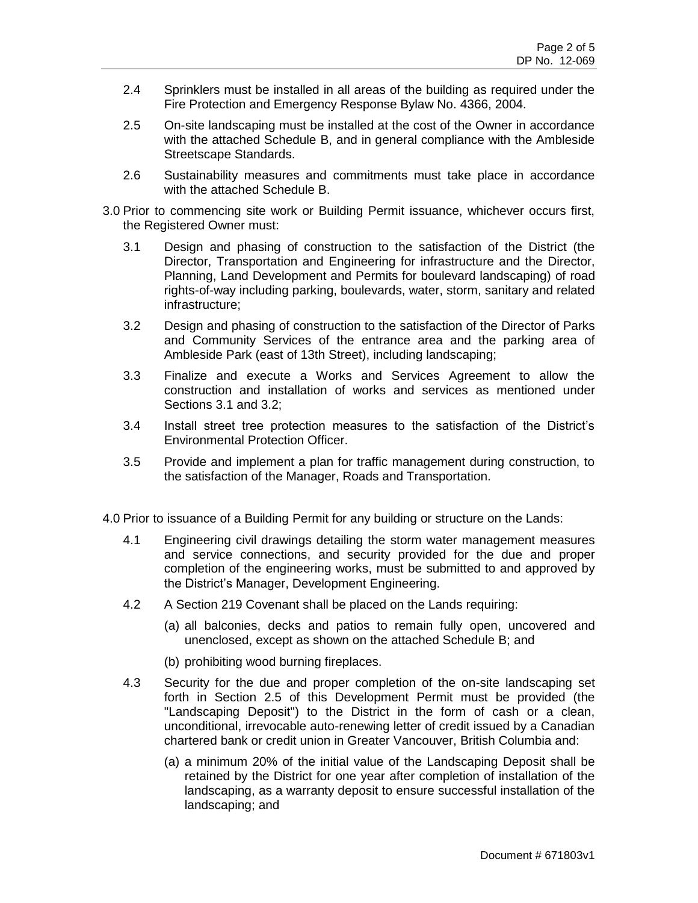- 2.4 Sprinklers must be installed in all areas of the building as required under the Fire Protection and Emergency Response Bylaw No. 4366, 2004.
- 2.5 On-site landscaping must be installed at the cost of the Owner in accordance with the attached Schedule B, and in general compliance with the Ambleside Streetscape Standards.
- 2.6 Sustainability measures and commitments must take place in accordance with the attached Schedule B.
- 3.0 Prior to commencing site work or Building Permit issuance, whichever occurs first, the Registered Owner must:
	- 3.1 Design and phasing of construction to the satisfaction of the District (the Director, Transportation and Engineering for infrastructure and the Director, Planning, Land Development and Permits for boulevard landscaping) of road rights-of-way including parking, boulevards, water, storm, sanitary and related infrastructure;
	- 3.2 Design and phasing of construction to the satisfaction of the Director of Parks and Community Services of the entrance area and the parking area of Ambleside Park (east of 13th Street), including landscaping;
	- 3.3 Finalize and execute a Works and Services Agreement to allow the construction and installation of works and services as mentioned under Sections 3.1 and 3.2;
	- 3.4 Install street tree protection measures to the satisfaction of the District's Environmental Protection Officer.
	- 3.5 Provide and implement a plan for traffic management during construction, to the satisfaction of the Manager, Roads and Transportation.
- 4.0 Prior to issuance of a Building Permit for any building or structure on the Lands:
	- 4.1 Engineering civil drawings detailing the storm water management measures and service connections, and security provided for the due and proper completion of the engineering works, must be submitted to and approved by the District's Manager, Development Engineering.
	- 4.2 A Section 219 Covenant shall be placed on the Lands requiring:
		- (a) all balconies, decks and patios to remain fully open, uncovered and unenclosed, except as shown on the attached Schedule B; and
		- (b) prohibiting wood burning fireplaces.
	- 4.3 Security for the due and proper completion of the on-site landscaping set forth in Section 2.5 of this Development Permit must be provided (the "Landscaping Deposit") to the District in the form of cash or a clean, unconditional, irrevocable auto-renewing letter of credit issued by a Canadian chartered bank or credit union in Greater Vancouver, British Columbia and:
		- (a) a minimum 20% of the initial value of the Landscaping Deposit shall be retained by the District for one year after completion of installation of the landscaping, as a warranty deposit to ensure successful installation of the landscaping; and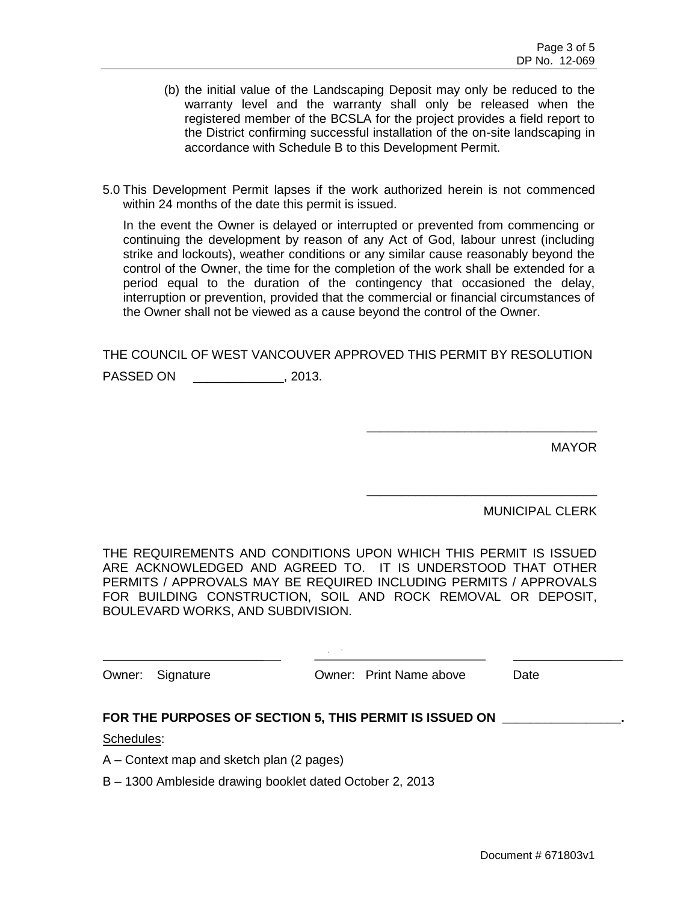- (b) the initial value of the Landscaping Deposit may only be reduced to the warranty level and the warranty shall only be released when the registered member of the BCSLA for the project provides a field report to the District confirming successful installation of the on-site landscaping in accordance with Schedule B to this Development Permit.
- 5.0 This Development Permit lapses if the work authorized herein is not commenced within 24 months of the date this permit is issued.

In the event the Owner is delayed or interrupted or prevented from commencing or continuing the development by reason of any Act of God, labour unrest (including strike and lockouts), weather conditions or any similar cause reasonably beyond the control of the Owner, the time for the completion of the work shall be extended for a period equal to the duration of the contingency that occasioned the delay, interruption or prevention, provided that the commercial or financial circumstances of the Owner shall not be viewed as a cause beyond the control of the Owner.

THE COUNCIL OF WEST VANCOUVER APPROVED THIS PERMIT BY RESOLUTION

PASSED ON \_\_\_\_\_\_\_\_\_\_\_\_\_, 2013.

MAYOR

MUNICIPAL CLERK

\_\_\_\_\_\_\_\_\_\_\_\_\_\_\_\_\_\_\_\_\_\_\_\_\_\_\_\_\_\_\_\_\_

\_\_\_\_\_\_\_\_\_\_\_\_\_\_\_\_\_\_\_\_\_\_\_\_\_\_\_\_\_\_\_\_\_

THE REQUIREMENTS AND CONDITIONS UPON WHICH THIS PERMIT IS ISSUED ARE ACKNOWLEDGED AND AGREED TO. IT IS UNDERSTOOD THAT OTHER PERMITS / APPROVALS MAY BE REQUIRED INCLUDING PERMITS / APPROVALS FOR BUILDING CONSTRUCTION, SOIL AND ROCK REMOVAL OR DEPOSIT, BOULEVARD WORKS, AND SUBDIVISION.

| Owner: Signature | Owner: Print Name above | Date |
|------------------|-------------------------|------|
|                  |                         |      |

## **FOR THE PURPOSES OF SECTION 5, THIS PERMIT IS ISSUED ON \_\_\_\_\_\_\_\_\_\_\_\_\_\_\_\_\_.**

Schedules:

A – Context map and sketch plan (2 pages)

B – 1300 Ambleside drawing booklet dated October 2, 2013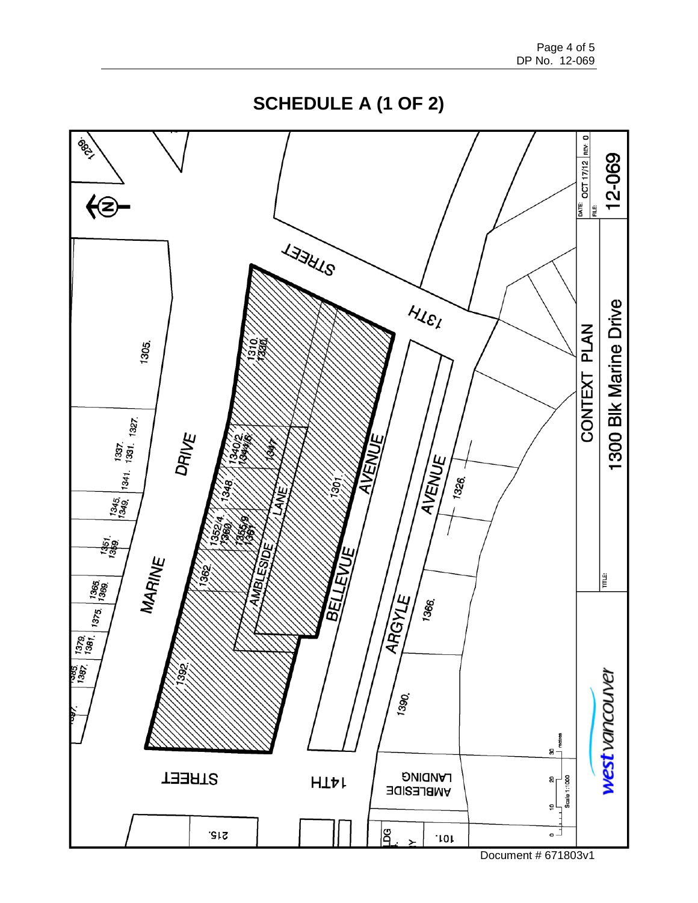**SCHEDULE A (1 OF 2)**